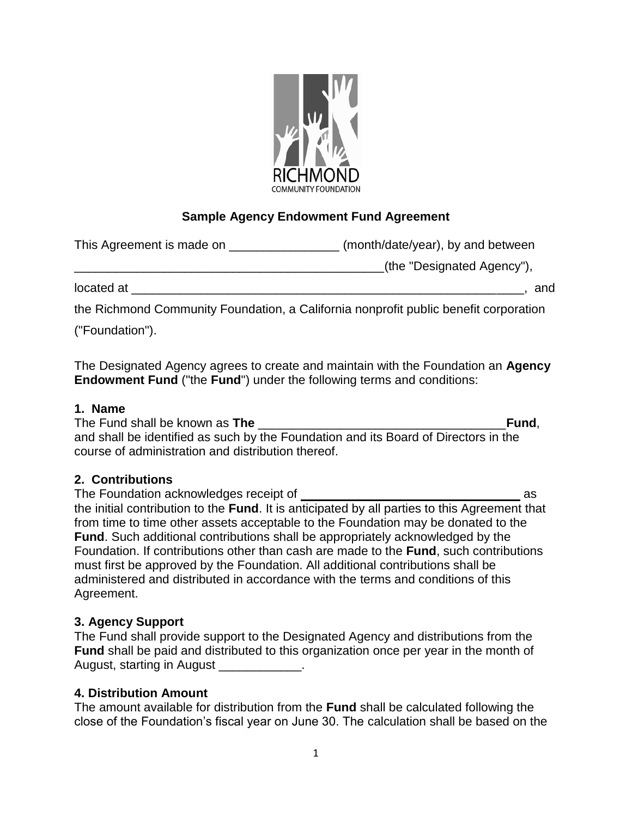

# **Sample Agency Endowment Fund Agreement**

| This Agreement is made on | (month/date/year), by and between |
|---------------------------|-----------------------------------|
|                           | (the "Designated Agency"),        |
| located at                | and                               |

the Richmond Community Foundation, a California nonprofit public benefit corporation

("Foundation").

The Designated Agency agrees to create and maintain with the Foundation an **Agency Endowment Fund** ("the **Fund**") under the following terms and conditions:

## **1. Name**

The Fund shall be known as **The** \_\_\_\_\_\_\_\_\_\_\_\_\_\_\_\_\_\_\_\_\_\_\_\_\_\_\_\_\_\_\_\_\_\_\_\_**Fund**, and shall be identified as such by the Foundation and its Board of Directors in the course of administration and distribution thereof.

## **2. Contributions**

The Foundation acknowledges receipt of and a state of a state of a state of a state of a state of a state of a state of a state of a state of a state of a state of a state of a state of a state of a state of a state of a s the initial contribution to the **Fund**. It is anticipated by all parties to this Agreement that from time to time other assets acceptable to the Foundation may be donated to the **Fund**. Such additional contributions shall be appropriately acknowledged by the Foundation. If contributions other than cash are made to the **Fund**, such contributions must first be approved by the Foundation. All additional contributions shall be administered and distributed in accordance with the terms and conditions of this Agreement.

## **3. Agency Support**

| The Fund shall provide support to the Designated Agency and distributions from the           |
|----------------------------------------------------------------------------------------------|
| <b>Fund</b> shall be paid and distributed to this organization once per year in the month of |
| August, starting in August                                                                   |

## **4. Distribution Amount**

The amount available for distribution from the **Fund** shall be calculated following the close of the Foundation's fiscal year on June 30. The calculation shall be based on the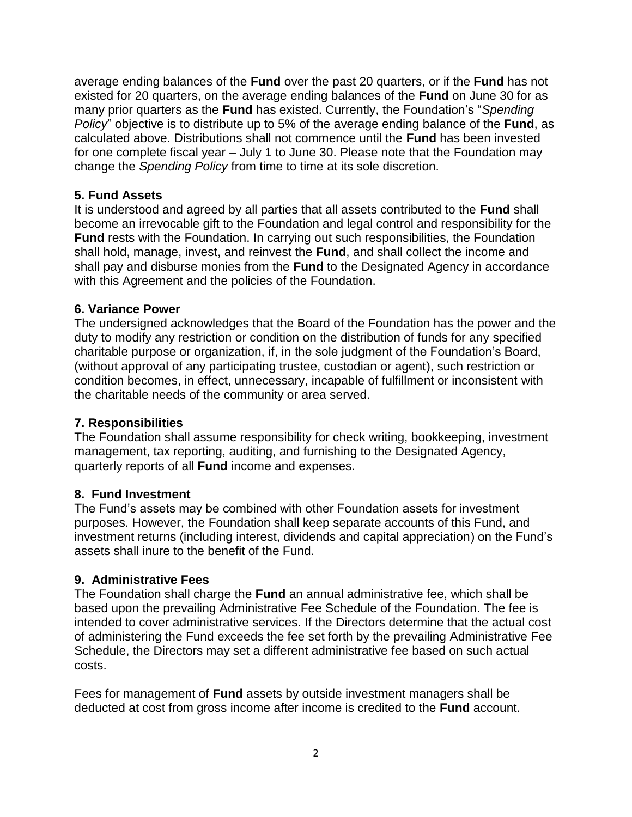average ending balances of the **Fund** over the past 20 quarters, or if the **Fund** has not existed for 20 quarters, on the average ending balances of the **Fund** on June 30 for as many prior quarters as the **Fund** has existed. Currently, the Foundation's "*Spending Policy*" objective is to distribute up to 5% of the average ending balance of the **Fund**, as calculated above. Distributions shall not commence until the **Fund** has been invested for one complete fiscal year – July 1 to June 30. Please note that the Foundation may change the *Spending Policy* from time to time at its sole discretion.

#### **5. Fund Assets**

It is understood and agreed by all parties that all assets contributed to the **Fund** shall become an irrevocable gift to the Foundation and legal control and responsibility for the **Fund** rests with the Foundation. In carrying out such responsibilities, the Foundation shall hold, manage, invest, and reinvest the **Fund**, and shall collect the income and shall pay and disburse monies from the **Fund** to the Designated Agency in accordance with this Agreement and the policies of the Foundation.

#### **6. Variance Power**

The undersigned acknowledges that the Board of the Foundation has the power and the duty to modify any restriction or condition on the distribution of funds for any specified charitable purpose or organization, if, in the sole judgment of the Foundation's Board, (without approval of any participating trustee, custodian or agent), such restriction or condition becomes, in effect, unnecessary, incapable of fulfillment or inconsistent with the charitable needs of the community or area served.

## **7. Responsibilities**

The Foundation shall assume responsibility for check writing, bookkeeping, investment management, tax reporting, auditing, and furnishing to the Designated Agency, quarterly reports of all **Fund** income and expenses.

## **8. Fund Investment**

The Fund's assets may be combined with other Foundation assets for investment purposes. However, the Foundation shall keep separate accounts of this Fund, and investment returns (including interest, dividends and capital appreciation) on the Fund's assets shall inure to the benefit of the Fund.

## **9. Administrative Fees**

The Foundation shall charge the **Fund** an annual administrative fee, which shall be based upon the prevailing Administrative Fee Schedule of the Foundation. The fee is intended to cover administrative services. If the Directors determine that the actual cost of administering the Fund exceeds the fee set forth by the prevailing Administrative Fee Schedule, the Directors may set a different administrative fee based on such actual costs.

Fees for management of **Fund** assets by outside investment managers shall be deducted at cost from gross income after income is credited to the **Fund** account.